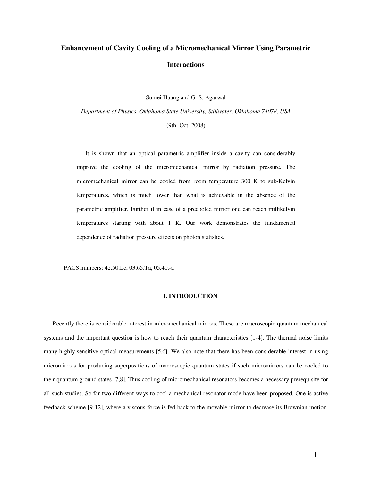# **Enhancement of Cavity Cooling of a Micromechanical Mirror Using Parametric Interactions**

Sumei Huang and G. S. Agarwal

*Department of Physics, Oklahoma State University, Stillwater, Oklahoma 74078, USA*

(9th Oct 2008)

It is shown that an optical parametric amplifier inside a cavity can considerably improve the cooling of the micromechanical mirror by radiation pressure. The micromechanical mirror can be cooled from room temperature 300 K to sub-Kelvin temperatures, which is much lower than what is achievable in the absence of the parametric amplifier. Further if in case of a precooled mirror one can reach millikelvin temperatures starting with about 1 K. Our work demonstrates the fundamental dependence of radiation pressure effects on photon statistics.

PACS numbers: 42.50.Lc, 03.65.Ta, 05.40.-a

#### **I. INTRODUCTION**

Recently there is considerable interest in micromechanical mirrors. These are macroscopic quantum mechanical systems and the important question is how to reach their quantum characteristics [1-4]. The thermal noise limits many highly sensitive optical measurements [5,6]. We also note that there has been considerable interest in using micromirrors for producing superpositions of macroscopic quantum states if such micromirrors can be cooled to their quantum ground states [7,8]. Thus cooling of micromechanical resonators becomes a necessary prerequisite for all such studies. So far two different ways to cool a mechanical resonator mode have been proposed. One is active feedback scheme [9-12], where a viscous force is fed back to the movable mirror to decrease its Brownian motion.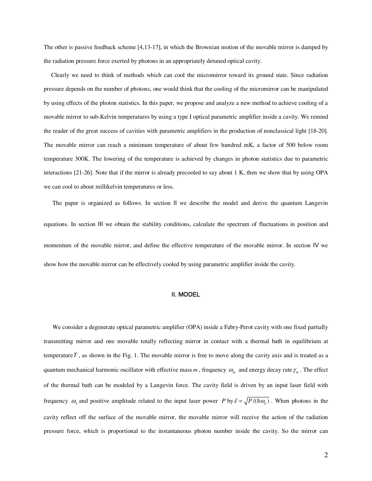The other is passive feedback scheme [4,13-17], in which the Brownian motion of the movable mirror is damped by the radiation pressure force exerted by photons in an appropriately detuned optical cavity.

 Clearly we need to think of methods which can cool the micromirror toward its ground state. Since radiation pressure depends on the number of photons, one would think that the cooling of the micromirror can be manipulated by using effects of the photon statistics. In this paper, we propose and analyze a new method to achieve cooling of a movable mirror to sub-Kelvin temperatures by using a type I optical parametric amplifier inside a cavity. We remind the reader of the great success of cavities with parametric amplifiers in the production of nonclassical light [18-20]. The movable mirror can reach a minimum temperature of about few hundred mK, a factor of 500 below room temperature 300K. The lowering of the temperature is achieved by changes in photon statistics due to parametric interactions [21-26]. Note that if the mirror is already precooled to say about 1 K, then we show that by using OPA we can cool to about millikelvin temperatures or less.

The paper is organized as follows. In section II we describe the model and derive the quantum Langevin equations. In section III we obtain the stability conditions, calculate the spectrum of fluctuations in position and momentum of the movable mirror, and define the effective temperature of the movable mirror. In section Ⅳ we show how the movable mirror can be effectively cooled by using parametric amplifier inside the cavity.

## Ⅱ. MODEL

We consider a degenerate optical parametric amplifier (OPA) inside a Fabry-Perot cavity with one fixed partially transmitting mirror and one movable totally reflecting mirror in contact with a thermal bath in equilibrium at temperature  $T$ , as shown in the Fig. 1. The movable mirror is free to move along the cavity axis and is treated as a quantum mechanical harmonic oscillator with effective mass *m*, frequency  $\omega_m$  and energy decay rate  $\gamma_m$ . The effect of the thermal bath can be modeled by a Langevin force. The cavity field is driven by an input laser field with frequency  $\omega_L$  and positive amplitude related to the input laser power *P* by  $\tilde{\varepsilon} = \sqrt{P/(\hbar \omega_L)}$ . When photons in the cavity reflect off the surface of the movable mirror, the movable mirror will receive the action of the radiation pressure force, which is proportional to the instantaneous photon number inside the cavity. So the mirror can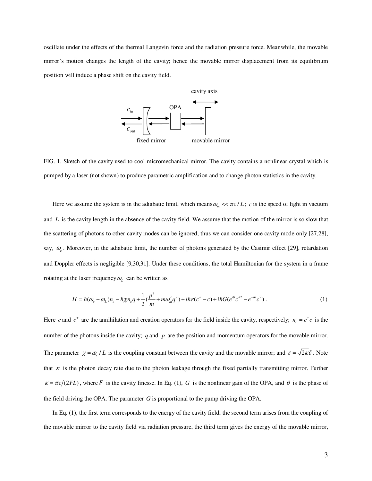oscillate under the effects of the thermal Langevin force and the radiation pressure force. Meanwhile, the movable mirror's motion changes the length of the cavity; hence the movable mirror displacement from its equilibrium position will induce a phase shift on the cavity field.



FIG. 1. Sketch of the cavity used to cool micromechanical mirror. The cavity contains a nonlinear crystal which is pumped by a laser (not shown) to produce parametric amplification and to change photon statistics in the cavity.

Here we assume the system is in the adiabatic limit, which means  $\omega_m \ll \pi c/L$ ; *c* is the speed of light in vacuum and *L* is the cavity length in the absence of the cavity field. We assume that the motion of the mirror is so slow that the scattering of photons to other cavity modes can be ignored, thus we can consider one cavity mode only [27,28], say,  $\omega_c$ . Moreover, in the adiabatic limit, the number of photons generated by the Casimir effect [29], retardation and Doppler effects is negligible [9,30,31]. Under these conditions, the total Hamiltonian for the system in a frame rotating at the laser frequency  $\omega$ <sub>c</sub> can be written as

$$
H = \hbar(\omega_c - \omega_L)n_c - \hbar\chi n_c q + \frac{1}{2}(\frac{p^2}{m} + m\omega_m^2 q^2) + i\hbar\varepsilon(c^+ - c) + i\hbar G(e^{i\theta}c^{+2} - e^{-i\theta}c^2).
$$
 (1)

Here *c* and  $c^+$  are the annihilation and creation operators for the field inside the cavity, respectively;  $n_c = c^+ c$  is the number of the photons inside the cavity; *q* and *p* are the position and momentum operators for the movable mirror. The parameter  $\chi = \omega_c / L$  is the coupling constant between the cavity and the movable mirror; and  $\varepsilon = \sqrt{2\kappa \tilde{\varepsilon}}$ . Note that  $\kappa$  is the photon decay rate due to the photon leakage through the fixed partially transmitting mirror. Further  $\kappa = \pi c/(2FL)$ , where *F* is the cavity finesse. In Eq. (1), *G* is the nonlinear gain of the OPA, and  $\theta$  is the phase of the field driving the OPA. The parameter *G* is proportional to the pump driving the OPA.

In Eq. (1), the first term corresponds to the energy of the cavity field, the second term arises from the coupling of the movable mirror to the cavity field via radiation pressure, the third term gives the energy of the movable mirror,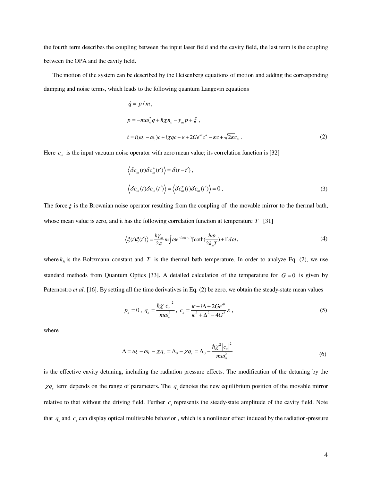the fourth term describes the coupling between the input laser field and the cavity field, the last term is the coupling between the OPA and the cavity field.

The motion of the system can be described by the Heisenberg equations of motion and adding the corresponding damping and noise terms, which leads to the following quantum Langevin equations

$$
\dot{q} = p/m,
$$
\n
$$
\dot{p} = -m\omega_m^2 q + \hbar \chi n_c - \gamma_m p + \xi,
$$
\n
$$
\dot{c} = i(\omega_L - \omega_c)c + i\chi qc + \varepsilon + 2Ge^{i\theta}c^+ - \kappa c + \sqrt{2\kappa}c_m.
$$
\n(2)

Here  $c_{in}$  is the input vacuum noise operator with zero mean value; its correlation function is [32]

$$
\langle \delta c_{in}(t) \delta c_{in}^{+}(t') \rangle = \delta(t - t'),
$$
  

$$
\langle \delta c_{in}(t) \delta c_{in}(t') \rangle = \langle \delta c_{in}^{+}(t) \delta c_{in}(t') \rangle = 0.
$$
 (3)

The force  $\xi$  is the Brownian noise operator resulting from the coupling of the movable mirror to the thermal bath, whose mean value is zero, and it has the following correlation function at temperature *T* [31]

$$
\langle \xi(t)\xi(t')\rangle = \frac{\hbar\gamma_m}{2\pi} m \int \omega e^{-i\omega(t-t')} [\coth(\frac{\hbar\omega}{2k_B T}) + 1] d\omega,
$$
\n(4)

where  $k<sub>B</sub>$  is the Boltzmann constant and *T* is the thermal bath temperature. In order to analyze Eq. (2), we use standard methods from Quantum Optics [33]. A detailed calculation of the temperature for  $G = 0$  is given by Paternostro *et al*. [16]. By setting all the time derivatives in Eq. (2) be zero, we obtain the steady-state mean values

$$
p_s = 0, \ q_s = \frac{\hbar \chi \left| c_s \right|^2}{m \omega_m^2}, \ c_s = \frac{\kappa - i \Delta + 2Ge^{i\theta}}{\kappa^2 + \Delta^2 - 4G^2} \varepsilon \ , \tag{5}
$$

where

$$
\Delta = \omega_c - \omega_L - \chi q_s = \Delta_0 - \chi q_s = \Delta_0 - \frac{\hbar \chi^2 |c_s|^2}{m \omega_m^2}
$$
\n(6)

is the effective cavity detuning, including the radiation pressure effects. The modification of the detuning by the  $\chi q$  term depends on the range of parameters. The  $q_s$  denotes the new equilibrium position of the movable mirror relative to that without the driving field. Further  $c<sub>s</sub>$  represents the steady-state amplitude of the cavity field. Note that  $q_s$  and  $c_s$  can display optical multistable behavior, which is a nonlinear effect induced by the radiation-pressure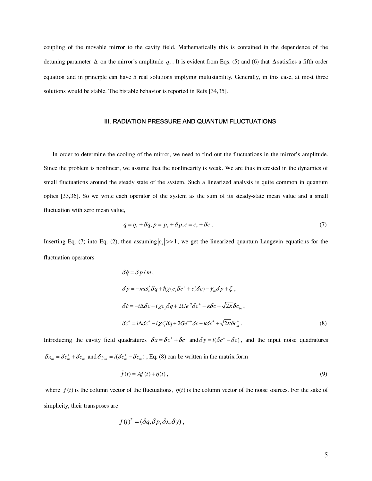coupling of the movable mirror to the cavity field. Mathematically this is contained in the dependence of the detuning parameter  $\Delta$  on the mirror's amplitude  $q_s$ . It is evident from Eqs. (5) and (6) that  $\Delta$  satisfies a fifth order equation and in principle can have 5 real solutions implying multistability. Generally, in this case, at most three solutions would be stable. The bistable behavior is reported in Refs [34,35].

## **III. RADIATION PRESSURE AND QUANTUM FLUCTUATIONS**

In order to determine the cooling of the mirror, we need to find out the fluctuations in the mirror's amplitude. Since the problem is nonlinear, we assume that the nonlinearity is weak. We are thus interested in the dynamics of small fluctuations around the steady state of the system. Such a linearized analysis is quite common in quantum optics [33,36]. So we write each operator of the system as the sum of its steady-state mean value and a small fluctuation with zero mean value,

$$
q = q_s + \delta q, p = p_s + \delta p, c = c_s + \delta c \tag{7}
$$

Inserting Eq. (7) into Eq. (2), then assuming  $|c_s| \gg 1$ , we get the linearized quantum Langevin equations for the fluctuation operators

$$
\delta \dot{q} = \delta p / m ,
$$
  
\n
$$
\delta \dot{p} = -m \omega_m^2 \delta q + \hbar \chi (c_s \delta c^+ + c_s^* \delta c) - \gamma_m \delta p + \xi ,
$$
  
\n
$$
\delta \dot{c} = -i \Delta \delta c + i \chi c_s \delta q + 2Ge^{i\theta} \delta c^+ - \kappa \delta c + \sqrt{2\kappa} \delta c_{in} ,
$$
  
\n
$$
\delta \dot{c}^+ = i \Delta \delta c^+ - i \chi c_s^* \delta q + 2Ge^{-i\theta} \delta c - \kappa \delta c^+ + \sqrt{2\kappa} \delta c_{in}^* .
$$
\n(8)

Introducing the cavity field quadratures  $\delta x = \delta c^+ + \delta c$  and  $\delta y = i(\delta c^+ - \delta c)$ , and the input noise quadratures  $\delta x_{in} = \delta c_{in}^+ + \delta c_{in}$  and  $\delta y_{in} = i(\delta c_{in}^+ - \delta c_{in})$ , Eq. (8) can be written in the matrix form

$$
\dot{f}(t) = Af(t) + \eta(t),\tag{9}
$$

where  $f(t)$  is the column vector of the fluctuations,  $\eta(t)$  is the column vector of the noise sources. For the sake of simplicity, their transposes are

$$
f(t)^T = (\delta q, \delta p, \delta x, \delta y),
$$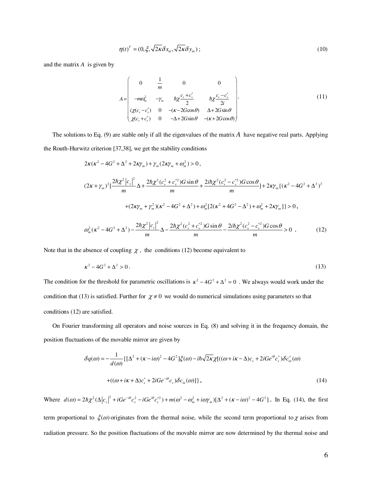$$
\eta(t)^{T} = (0, \xi, \sqrt{2\kappa} \delta x_{in}, \sqrt{2\kappa} \delta y_{in}); \qquad (10)
$$

and the matrix *A* is given by

$$
A = \begin{pmatrix} 0 & \frac{1}{m} & 0 & 0 \\ -m\omega_m^2 & -\gamma_m & \hbar\chi \frac{c_s + c_s^*}{2} & \hbar\chi \frac{c_s - c_s^*}{2i} \\ i\chi(c_s - c_s^*) & 0 & -(K - 2G\cos\theta) & \Delta + 2G\sin\theta \\ \chi(c_s + c_s^*) & 0 & -\Delta + 2G\sin\theta & -(K + 2G\cos\theta) \end{pmatrix}.
$$
 (11)

The solutions to Eq. (9) are stable only if all the eigenvalues of the matrix  $\vec{A}$  have negative real parts. Applying the Routh-Hurwitz criterion [37,38], we get the stability conditions

$$
2\kappa(\kappa^{2} - 4G^{2} + \Delta^{2} + 2\kappa\gamma_{m}) + \gamma_{m}(2\kappa\gamma_{m} + \omega_{m}^{2}) > 0,
$$
  
\n
$$
(2\kappa + \gamma_{m})^{2} \left[\frac{2\hbar\chi^{2} |c_{s}|^{2}}{m} \Delta + \frac{2\hbar\chi^{2} (c_{s}^{2} + c_{s}^{*2}) G \sin \theta}{m} + \frac{2\hbar\chi^{2} (c_{s}^{2} - c_{s}^{*2}) G \cos \theta}{m}\right] + 2\kappa\gamma_{m} \left\{ (\kappa^{2} - 4G^{2} + \Delta^{2})^{2} + (2\kappa\gamma_{m} + \gamma_{m}^{2})(\kappa^{2} - 4G^{2} + \Delta^{2}) + \omega_{m}^{2} [2(\kappa^{2} + 4G^{2} - \Delta^{2}) + \omega_{m}^{2} + 2\kappa\gamma_{m}] \right\} > 0,
$$
  
\n
$$
\omega_{m}^{2} (\kappa^{2} - 4G^{2} + \Delta^{2}) - \frac{2\hbar\chi^{2} |c_{s}|^{2}}{m} \Delta - \frac{2\hbar\chi^{2} (c_{s}^{2} + c_{s}^{*2}) G \sin \theta}{m} - \frac{2\hbar\chi^{2} (c_{s}^{2} - c_{s}^{*2}) G \cos \theta}{m} > 0.
$$
 (12)

Note that in the absence of coupling  $\chi$ , the conditions (12) become equivalent to

$$
\kappa^2 - 4G^2 + \Delta^2 > 0\,. \tag{13}
$$

The condition for the threshold for parametric oscillations is  $\kappa^2 - 4G^2 + \Delta^2 = 0$ . We always would work under the condition that (13) is satisfied. Further for  $\chi \neq 0$  we would do numerical simulations using parameters so that conditions (12) are satisfied.

On Fourier transforming all operators and noise sources in Eq. (8) and solving it in the frequency domain, the position fluctuations of the movable mirror are given by

$$
\delta q(\omega) = -\frac{1}{d(\omega)} \{ [\Delta^2 + (\kappa - i\omega)^2 - 4G^2] \xi(\omega) - i\hbar \sqrt{2\kappa} \chi [((\omega + i\kappa - \Delta)c_s + 2iGe^{i\theta}c_s^*) \delta c_m^+(\omega) \}
$$
  
 
$$
+ ((\omega + i\kappa + \Delta)c_s^* + 2iGe^{-i\theta}c_s) \delta c_m(\omega)] \},
$$
 (14)

Where  $d(\omega) = 2\hbar\chi^2(\Delta|c_s|^2 + iGe^{-i\theta}c_s^2 - iGe^{i\theta}c_s^{*2}) + m(\omega^2 - \omega_m^2 + i\omega\gamma_m)[\Delta^2 + (\kappa - i\omega)^2 - 4G^2]$ . In Eq. (14), the first term proportional to  $\zeta(\omega)$  originates from the thermal noise, while the second term proportional to  $\chi$  arises from radiation pressure. So the position fluctuations of the movable mirror are now determined by the thermal noise and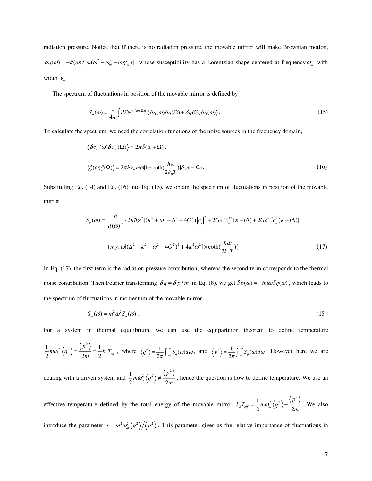radiation pressure. Notice that if there is no radiation pressure, the movable mirror will make Brownian motion,  $\delta q(\omega) = -\xi(\omega) / [m(\omega^2 - \omega_m^2 + i\omega\gamma_m)]$ , whose susceptibility has a Lorentzian shape centered at frequency  $\omega_m$  with width  $\gamma_m$ .

The spectrum of fluctuations in position of the movable mirror is defined by

$$
S_q(\omega) = \frac{1}{4\pi} \int d\Omega e^{-i(\omega + \Omega)t} \left\langle \delta q(\omega) \delta q(\Omega) + \delta q(\Omega) \delta q(\omega) \right\rangle. \tag{15}
$$

To calculate the spectrum, we need the correlation functions of the noise sources in the frequency domain,

$$
\langle \delta c_{in}(\omega) \delta c_{in}^{+}(\Omega) \rangle = 2\pi \delta(\omega + \Omega),
$$
  

$$
\langle \xi(\omega) \xi(\Omega) \rangle = 2\pi \hbar \gamma_m m \omega [1 + \coth(\frac{\hbar \omega}{2k_B T})] \delta(\omega + \Omega).
$$
 (16)

Substituting Eq. (14) and Eq. (16) into Eq. (15), we obtain the spectrum of fluctuations in position of the movable mirror

$$
S_q(\omega) = \frac{\hbar}{|d(\omega)|^2} \{2\kappa \hbar \chi^2 [(\kappa^2 + \omega^2 + \Delta^2 + 4G^2) |c_s|^2 + 2Ge^{i\theta} c_s^{*2} (\kappa - i\Delta) + 2Ge^{-i\theta} c_s^2 (\kappa + i\Delta)]
$$
  
+ 
$$
m\gamma_m \omega [(\Delta^2 + \kappa^2 - \omega^2 - 4G^2)^2 + 4\kappa^2 \omega^2] \times \coth(\frac{\hbar \omega}{2k_B T}) \}.
$$
 (17)

In Eq. (17), the first term is the radiation pressure contribution, whereas the second term corresponds to the thermal noise contribution. Then Fourier transforming  $\delta \dot{q} = \delta p/m$  in Eq. (8), we get  $\delta p(\omega) = -im\omega \delta q(\omega)$ , which leads to the spectrum of fluctuations in momentum of the movable mirror

$$
S_p(\omega) = m^2 \omega^2 S_q(\omega). \tag{18}
$$

For a system in thermal equilibrium, we can use the equipartition theorem to define temperature

$$
\frac{1}{2}m\omega_m^2\left\langle q^2\right\rangle = \frac{\left\langle p^2\right\rangle}{2m} = \frac{1}{2}k_B T_{\text{eff}}
$$
, where  $\left\langle q^2\right\rangle = \frac{1}{2\pi} \int_{-\infty}^{+\infty} S_q(\omega) d\omega$ , and  $\left\langle p^2\right\rangle = \frac{1}{2\pi} \int_{-\infty}^{+\infty} S_p(\omega) d\omega$ . However here we are

dealing with a driven system and  $1$   $\sqrt{p^2 + q^2 + q^2}$  $\frac{1}{2} m \omega_m \vee q$  /  $\overline{2}$ *p*  $m\omega_m^2 \langle q^2 \rangle \neq \frac{\lambda^2}{2m}$ , hence the question is how to define temperature. We use an

effective temperature defined by the total energy of the movable mirror  $1$   $\sqrt{p^2}$  $k_B T_{\text{eff}} = \frac{1}{2} m \omega_m^2 \langle q^2 \rangle + \frac{\langle p^2 \rangle}{2m}$ . We also

introduce the parameter  $r = m^2 \omega_m^2 \langle q^2 \rangle / \langle p^2 \rangle$ . This parameter gives us the relative importance of fluctuations in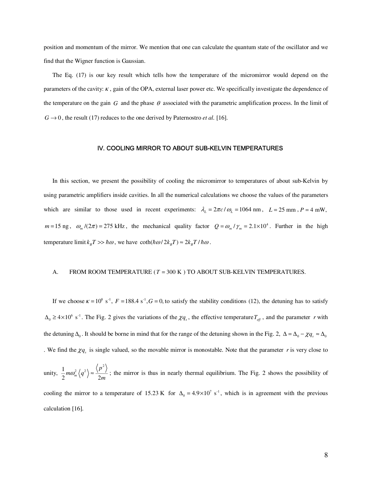position and momentum of the mirror. We mention that one can calculate the quantum state of the oscillator and we find that the Wigner function is Gaussian.

The Eq. (17) is our key result which tells how the temperature of the micromirror would depend on the parameters of the cavity:  $\kappa$ , gain of the OPA, external laser power etc. We specifically investigate the dependence of the temperature on the gain  $G$  and the phase  $\theta$  associated with the parametric amplification process. In the limit of  $G \rightarrow 0$ , the result (17) reduces to the one derived by Paternostro *et al.* [16].

## Ⅳ. COOLING MIRROR TO ABOUT SUB-KELVIN TEMPERATURES

In this section, we present the possibility of cooling the micromirror to temperatures of about sub-Kelvin by using parametric amplifiers inside cavities. In all the numerical calculations we choose the values of the parameters which are similar to those used in recent experiments:  $\lambda_L = 2\pi c / \omega_L = 1064 \text{ nm}$ ,  $L = 25 \text{ mm}$ ,  $P = 4 \text{ mW}$ ,  $m = 15$  ng,  $\omega_m / (2\pi) = 275$  kHz, the mechanical quality factor  $Q = \omega_m / \gamma_m = 2.1 \times 10^4$ . Further in the high temperature limit  $k_B T \gg \hbar \omega$ , we have  $\coth(\hbar \omega/2k_B T) \approx 2k_B T / \hbar \omega$ .

## A. FROM ROOM TEMPERATURE (*T* = 300 K ) TO ABOUT SUB-KELVIN TEMPERATURES.

If we choose  $\kappa = 10^8$  s<sup>-1</sup>,  $F = 188.4$  s<sup>-1</sup>,  $G = 0$ , to satisfy the stability conditions (12), the detuning has to satisfy  $\Delta_0 \ge 4 \times 10^6$  s<sup>-1</sup>. The Fig. 2 gives the variations of the  $\chi q_s$ , the effective temperature  $T_{\text{eff}}$ , and the parameter *r* with the detuning  $\Delta_0$ . It should be borne in mind that for the range of the detuning shown in the Fig. 2,  $\Delta = \Delta_0 - \chi q_s \approx \Delta_0$ . We find the  $\chi q_s$  is single valued, so the movable mirror is monostable. Note that the parameter *r* is very close to

unity,  $1$   $\sqrt{p^2}$  $\frac{1}{2} m \omega_m \vee q$  /  $\sim \frac{1}{2}$ *p*  $m\omega_m^2\langle q^2\rangle \approx \frac{\langle q^2\rangle}{2m}$ ; the mirror is thus in nearly thermal equilibrium. The Fig. 2 shows the possibility of cooling the mirror to a temperature of 15.23 K for  $\Delta_0 = 4.9 \times 10^7$  s<sup>-1</sup>, which is in agreement with the previous calculation [16].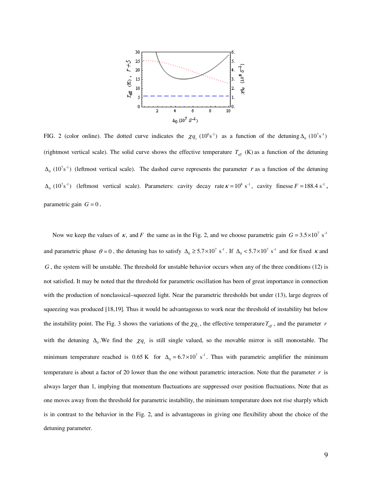

FIG. 2 (color online). The dotted curve indicates the  $\chi q_s (10^6 s^{-1})$  as a function of the detuning  $\Delta_0 (10^7 s^{-1})$ (rightmost vertical scale). The solid curve shows the effective temperature  $T_{\text{eff}}$  (K) as a function of the detuning  $\Delta_0$  (10<sup>7</sup>s<sup>-1</sup>) (leftmost vertical scale). The dashed curve represents the parameter *r* as a function of the detuning  $\Delta_0$  (10<sup>7</sup>s<sup>-1</sup>) (leftmost vertical scale). Parameters: cavity decay rate  $\kappa = 10^8$  s<sup>-1</sup>, cavity finesse  $F = 188.4$  s<sup>-1</sup>, parametric gain  $G = 0$ .

Now we keep the values of  $\kappa$ , and F the same as in the Fig. 2, and we choose parametric gain  $G = 3.5 \times 10^{7} \text{ s}^{-1}$ and parametric phase  $\theta = 0$ , the detuning has to satisfy  $\Delta_0 \ge 5.7 \times 10^7$  s<sup>-1</sup>. If  $\Delta_0 < 5.7 \times 10^7$  s<sup>-1</sup> and for fixed *k* and *G* , the system will be unstable. The threshold for unstable behavior occurs when any of the three conditions (12) is not satisfied. It may be noted that the threshold for parametric oscillation has been of great importance in connection with the production of nonclassical–squeezed light. Near the parametric thresholds but under (13), large degrees of squeezing was produced [18,19]. Thus it would be advantageous to work near the threshold of instability but below the instability point. The Fig. 3 shows the variations of the  $\chi q_s$ , the effective temperature  $T_{ef}$ , and the parameter *r* with the detuning  $\Delta_0$ . We find the  $\chi q_s$  is still single valued, so the movable mirror is still monostable. The minimum temperature reached is 0.65 K for  $\Delta_0 = 6.7 \times 10^7 \text{ s}^{-1}$ . Thus with parametric amplifier the minimum temperature is about a factor of 20 lower than the one without parametric interaction. Note that the parameter *r* is always larger than 1, implying that momentum fluctuations are suppressed over position fluctuations. Note that as one moves away from the threshold for parametric instability, the minimum temperature does not rise sharply which is in contrast to the behavior in the Fig. 2, and is advantageous in giving one flexibility about the choice of the detuning parameter.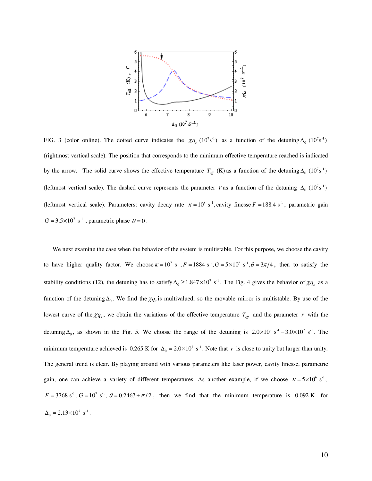

FIG. 3 (color online). The dotted curve indicates the  $\chi q_s (10^7 s^{-1})$  as a function of the detuning  $\Delta_0 (10^7 s^{-1})$ (rightmost vertical scale). The position that corresponds to the minimum effective temperature reached is indicated by the arrow. The solid curve shows the effective temperature  $T_{\text{eff}}$  (K) as a function of the detuning  $\Delta_0$  (10<sup>7</sup>s<sup>-1</sup>) (leftmost vertical scale). The dashed curve represents the parameter *r* as a function of the detuning  $\Delta_0$  (10<sup>7</sup>s<sup>-1</sup>) (leftmost vertical scale). Parameters: cavity decay rate  $\kappa = 10^8$  s<sup>-1</sup>, cavity finesse  $F = 188.4$  s<sup>-1</sup>, parametric gain  $G = 3.5 \times 10^{7}$  s<sup>-1</sup>, parametric phase  $\theta = 0$ .

We next examine the case when the behavior of the system is multistable. For this purpose, we choose the cavity to have higher quality factor. We choose  $\kappa = 10^7$  s<sup>-1</sup>,  $F = 1884$  s<sup>-1</sup>,  $G = 5 \times 10^6$  s<sup>-1</sup>,  $\theta = 3\pi/4$ , then to satisfy the stability conditions (12), the detuning has to satisfy  $\Delta_0 \ge 1.847 \times 10^7$  s<sup>-1</sup>. The Fig. 4 gives the behavior of  $\chi q_s$  as a function of the detuning  $\Delta_0$ . We find the  $\chi q_s$  is multivalued, so the movable mirror is multistable. By use of the lowest curve of the  $\chi q_s$ , we obtain the variations of the effective temperature  $T_{ef}$  and the parameter *r* with the detuning  $\Delta_0$ , as shown in the Fig. 5. We choose the range of the detuning is  $2.0 \times 10^7$  s<sup>-1</sup> -  $3.0 \times 10^7$  s<sup>-1</sup>. The minimum temperature achieved is 0.265 K for  $\Delta_0 = 2.0 \times 10^7 \text{ s}^{-1}$ . Note that *r* is close to unity but larger than unity. The general trend is clear. By playing around with various parameters like laser power, cavity finesse, parametric gain, one can achieve a variety of different temperatures. As another example, if we choose  $\kappa = 5 \times 10^6$  s<sup>-1</sup>,  $F = 3768 \text{ s}^3$ ,  $G = 10^7 \text{ s}^3$ ,  $\theta = 0.2467 + \pi/2$ , then we find that the minimum temperature is 0.092 K for  $\Delta_0 = 2.13 \times 10^7 \text{ s}^{-1}.$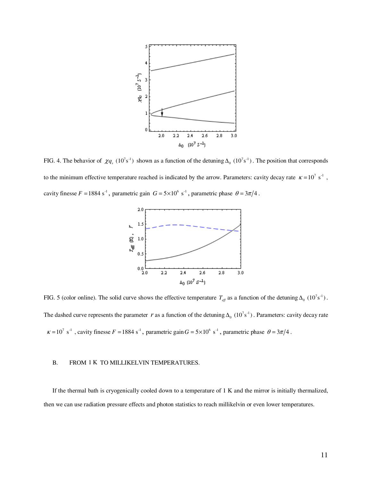

FIG. 4. The behavior of  $\chi q_s$  (10<sup>7</sup>s<sup>-1</sup>) shown as a function of the detuning  $\Delta_0$  (10<sup>7</sup>s<sup>-1</sup>). The position that corresponds to the minimum effective temperature reached is indicated by the arrow. Parameters: cavity decay rate  $\kappa = 10^7 \text{ s}^{-1}$ , cavity finesse  $F = 1884 \text{ s}^{-1}$ , parametric gain  $G = 5 \times 10^6 \text{ s}^{-1}$ , parametric phase  $\theta = 3\pi/4$ .



FIG. 5 (color online). The solid curve shows the effective temperature  $T_{\text{eff}}$  as a function of the detuning  $\Delta_0$  (10<sup>7</sup>s<sup>-1</sup>). The dashed curve represents the parameter *r* as a function of the detuning  $\Delta_0$  (10<sup>7</sup>s<sup>-1</sup>). Parameters: cavity decay rate  $\kappa = 10^7 \text{ s}^{-1}$ , cavity finesse  $F = 1884 \text{ s}^{-1}$ , parametric gain  $G = 5 \times 10^6 \text{ s}^{-1}$ , parametric phase  $\theta = 3\pi/4$ .

## B. FROM 1 K TO MILLIKELVIN TEMPERATURES.

If the thermal bath is cryogenically cooled down to a temperature of 1 K and the mirror is initially thermalized, then we can use radiation pressure effects and photon statistics to reach millikelvin or even lower temperatures.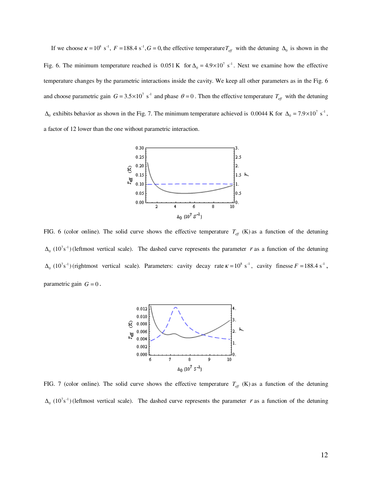If we choose  $\kappa = 10^8$  s<sup>-1</sup>,  $F = 188.4$  s<sup>-1</sup>,  $G = 0$ , the effective temperature  $T_{\text{eff}}$  with the detuning  $\Delta_0$  is shown in the Fig. 6. The minimum temperature reached is  $0.051 \text{ K}$  for  $\Delta_0 = 4.9 \times 10^7 \text{ s}^{-1}$ . Next we examine how the effective temperature changes by the parametric interactions inside the cavity. We keep all other parameters as in the Fig. 6 and choose parametric gain  $G = 3.5 \times 10^7$  s<sup>-1</sup> and phase  $\theta = 0$ . Then the effective temperature  $T_{\text{eff}}$  with the detuning  $\Delta_0$  exhibits behavior as shown in the Fig. 7. The minimum temperature achieved is 0.0044 K for  $\Delta_0 = 7.9 \times 10^7 \text{ s}^{-1}$ , a factor of 12 lower than the one without parametric interaction.



FIG. 6 (color online). The solid curve shows the effective temperature  $T_{\text{eff}}$  (K) as a function of the detuning  $\Delta_0$  (10<sup>7</sup>s<sup>-1</sup>) (leftmost vertical scale). The dashed curve represents the parameter *r* as a function of the detuning  $\Delta_0$  (10<sup>7</sup>s<sup>-1</sup>) (rightmost vertical scale). Parameters: cavity decay rate  $\kappa = 10^8$  s<sup>-1</sup>, cavity finesse  $F = 188.4$  s<sup>-1</sup>, parametric gain  $G = 0$ .



FIG. 7 (color online). The solid curve shows the effective temperature  $T_{\text{eff}}$  (K) as a function of the detuning  $\Delta_0$  (10<sup>7</sup>s<sup>-1</sup>) (leftmost vertical scale). The dashed curve represents the parameter *r* as a function of the detuning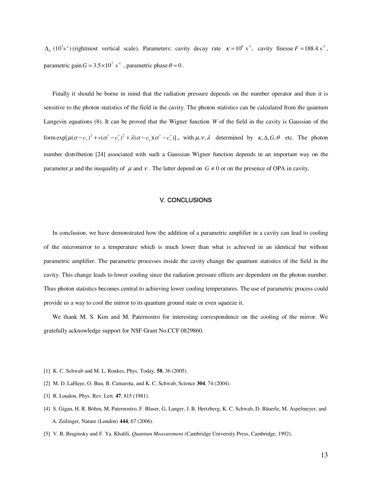$\Delta_0$  (10<sup>7</sup>s<sup>-1</sup>) (rightmost vertical scale). Parameters: cavity decay rate  $\kappa = 10^8$  s<sup>-1</sup>, cavity finesse  $F = 188.4$  s<sup>-1</sup>, parametric gain  $G = 3.5 \times 10^7$  s<sup>-1</sup>, parametric phase  $\theta = 0$ .

Finally it should be borne in mind that the radiation pressure depends on the number operator and then it is sensitive to the photon statistics of the field in the cavity. The photon statistics can be calculated from the quantum Langevin equations (8). It can be proved that the Wigner function *W* of the field in the cavity is Gaussian of the form  $\exp[\mu (\alpha - c_s)^2 + \nu (\alpha^* - c_s^*)^2 + \lambda (\alpha - c_s)(\alpha^* - c_s^*)]$ , with  $\mu, \nu, \lambda$  determined by  $\kappa, \Delta, G, \theta$  etc. The photon number distribution [24] associated with such a Gaussian Wigner function depends in an important way on the parameter  $\mu$  and the inequality of  $\mu$  and  $\nu$ . The latter depend on  $G \neq 0$  or on the presence of OPA in cavity.

#### Ⅴ. CONCLUSIONS

In conclusion, we have demonstrated how the addition of a parametric amplifier in a cavity can lead to cooling of the micromirror to a temperature which is much lower than what is achieved in an identical but without parametric amplifier. The parametric processes inside the cavity change the quantum statistics of the field in the cavity. This change leads to lower cooling since the radiation pressure effects are dependent on the photon number. Thus photon statistics becomes central to achieving lower cooling temperatures. The use of parametric process could provide us a way to cool the mirror to its quantum ground state or even squeeze it.

We thank M. S. Kim and M. Paternostro for interesting correspondence on the cooling of the mirror. We gratefully acknowledge support for NSF Grant No.CCF 0829860.

- [1] K. C. Schwab and M. L. Roukes, Phys. Today, **58**, 36 (2005).
- [2] M. D. LaHaye, O. Buu, B. Camarota, and K. C. Schwab, Science **304**, 74 (2004).
- [3] R. Loudon, Phys. Rev. Lett. **47**, 815 (1981).
- [4] S. Gigan, H. R. Böhm, M. Paternostro, F. Blaser, G. Langer, J. B. Hertzberg, K. C. Schwab, D. Bäuerle, M. Aspelmeyer, and A. Zeilinger, Nature (London) **444**, 67 (2006).
- [5] V. B. Braginsky and F. Ya. Khalili, *Quantum Measurement* (Cambridge University Press, Cambridge, 1992).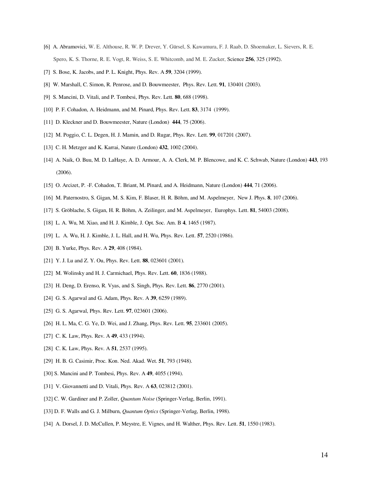- [6] A. Abramovici, W. E. Althouse, R. W. P. Drever, Y. Gürsel, S. Kawamura, F. J. Raab, D. Shoemaker, L. Sievers, R. E. Spero, K. S. Thorne, R. E. Vogt, R. Weiss, S. E. Whitcomb, and M. E. Zucker, Science **256**, 325 (1992).
- [7] S. Bose, K. Jacobs, and P. L. Knight, Phys. Rev. A **59**, 3204 (1999).
- [8] W. Marshall, C. Simon, R. Penrose, and D. Bouwmeester, Phys. Rev. Lett. **91**, 130401 (2003).
- [9] S. Mancini, D. Vitali, and P. Tombesi, Phys. Rev. Lett. **80**, 688 (1998).
- [10] P. F. Cohadon, A. Heidmann, and M. Pinard, Phys. Rev. Lett. **83**, 3174 (1999).
- [11] D. Kleckner and D. Bouwmeester, Nature (London) **444**, 75 (2006).
- [12] M. Poggio, C. L. Degen, H. J. Mamin, and D. Rugar, Phys. Rev. Lett. **99**, 017201 (2007).
- [13] C. H. Metzger and K. Karrai, Nature (London) **432**, 1002 (2004).
- [14] A. Naik, O. Buu, M. D. LaHaye, A. D. Armour, A. A. Clerk, M. P. Blencowe, and K. C. Schwab, Nature (London) **443**, 193 (2006).
- [15] O. Arcizet, P. -F. Cohadon, T. Briant, M. Pinard, and A. Heidmann, Nature (London) **444**, 71 (2006).
- [16] M. Paternostro, S. Gigan, M. S. Kim, F. Blaser, H. R. Böhm, and M. Aspelmeyer, New J. Phys. **8**, 107 (2006).
- [17] S. Gröblache, S. Gigan, H. R. Böhm, A. Zeilinger, and M. Aspelmeyer, Europhys. Lett. **81**, 54003 (2008).
- [18] L. A. Wu, M. Xiao, and H. J. Kimble, J. Opt. Soc. Am. B **4**, 1465 (1987).
- [19] L. A. Wu, H. J. Kimble, J. L. Hall, and H. Wu, Phys. Rev. Lett. **57**, 2520 (1986).
- [20] B. Yurke, Phys. Rev. A **29**, 408 (1984).
- [21] Y. J. Lu and Z. Y. Ou, Phys. Rev. Lett. **88**, 023601 (2001).
- [22] M. Wolinsky and H. J. Carmichael, Phys. Rev. Lett. **60**, 1836 (1988).
- [23] H. Deng, D. Erenso, R. Vyas, and S. Singh, Phys. Rev. Lett. **86**, 2770 (2001).
- [24] G. S. Agarwal and G. Adam, Phys. Rev. A **39**, 6259 (1989).
- [25] G. S. Agarwal, Phys. Rev. Lett. **97**, 023601 (2006).
- [26] H. L. Ma, C. G. Ye, D. Wei, and J. Zhang, Phys. Rev. Lett. **95**, 233601 (2005).
- [27] C. K. Law, Phys. Rev. A **49**, 433 (1994).
- [28] C. K. Law, Phys. Rev. A **51**, 2537 (1995).
- [29] H. B. G. Casimir, Proc. Kon. Ned. Akad. Wet. **51**, 793 (1948).
- [30] S. Mancini and P. Tombesi, Phys. Rev. A **49**, 4055 (1994).
- [31] V. Giovannetti and D. Vitali, Phys. Rev. A **63**, 023812 (2001).
- [32] C. W. Gardiner and P. Zoller, *Quantum Noise* (Springer-Verlag, Berlin, 1991).
- [33] D. F. Walls and G. J. Milburn, *Quantum Optics* (Springer-Verlag, Berlin, 1998).
- [34] A. Dorsel, J. D. McCullen, P. Meystre, E. Vignes, and H. Walther, Phys. Rev. Lett. **51**, 1550 (1983).